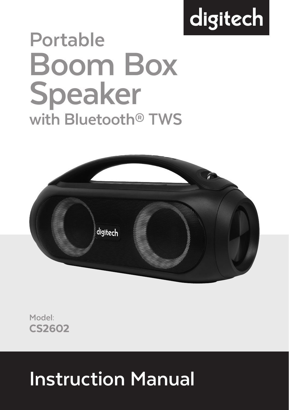# digitech

## **Portable Boom Box Speaker with Bluetooth® TWS**



CS2602 **Model:**

### **Instruction Manual**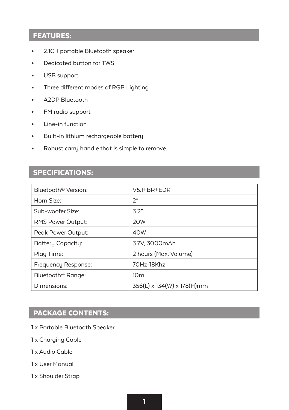#### FEATURES:

- 2.1CH portable Bluetooth speaker
- Dedicated button for TWS
- USB support
- Three different modes of RGB Lighting
- A2DP Bluetooth
- FM radio support
- Line-in function
- Built-in lithium rechargeable battery
- Robust carry handle that is simple to remove.

#### SPECIFICATIONS:

| Bluetooth <sup>®</sup> Version: | $V5.1 + BR + EDR$          |
|---------------------------------|----------------------------|
| Horn Size:                      | ን"                         |
| Sub-woofer Size:                | 3.2"                       |
| <b>RMS Power Output:</b>        | 20 <sub>W</sub>            |
| Peak Power Output:              | 40W                        |
| Battery Capacity:               | 3.7V, 3000mAh              |
| Play Time:                      | 2 hours (Max. Volume)      |
| Frequency Response:             | 70Hz-18Khz                 |
| Bluetooth <sup>®</sup> Range:   | 10 <sub>m</sub>            |
| Dimensions:                     | 356(L) x 134(W) x 178(H)mm |

#### PACKAGE CONTENTS:

- 1 x Portable Bluetooth Speaker
- 1 x Charging Cable
- 1 x Audio Cable
- 1 x User Manual
- 1 x Shoulder Strap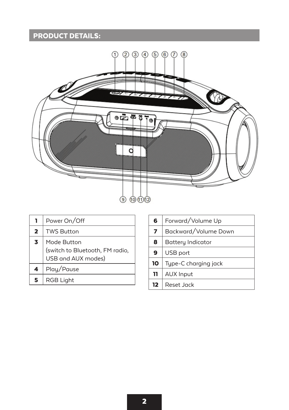#### PRODUCT DETAILS:



| ı.                      | Power On/Off                                                         |
|-------------------------|----------------------------------------------------------------------|
| $\overline{\mathbf{2}}$ | <b>TWS Button</b>                                                    |
| 3                       | Mode Button<br>(switch to Bluetooth, FM radio,<br>USB and AUX modes) |
| 4                       | Play/Pause                                                           |
| 5                       | <b>RGB Light</b>                                                     |

| 6  | Forward/Volume Up    |
|----|----------------------|
| 7  | Backward/Volume Down |
| 8  | Battery Indicator    |
| 9  | USB port             |
| 10 | Type-C charging jack |
| 11 | <b>AUX Input</b>     |
| 12 | Reset Jack           |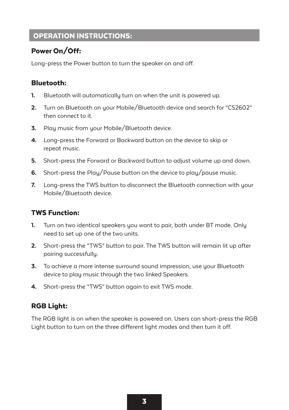#### OPERATION INSTRUCTIONS:

#### Power On/Off:

Long-press the Power button to turn the speaker on and off.

#### Bluetooth:

- 1. Bluetooth will automatically turn on when the unit is powered up.
- 2. Turn on Bluetooth on your Mobile/Bluetooth device and search for "CS2602" then connect to it.
- **3.** Play music from your Mobile/Bluetooth device.
- 4. Long-press the Forward or Backward button on the device to skip or repeat music.
- 5. Short-press the Forward or Backward button to adjust volume up and down.
- 6. Short-press the Play/Pause button on the device to play/pause music.
- 7. Long-press the TWS button to disconnect the Bluetooth connection with your Mobile/Bluetooth device.

#### TWS Function:

- 1. Turn on two identical speakers you want to pair, both under BT mode. Only need to set up one of the two units.
- 2. Short-press the "TWS" button to pair. The TWS button will remain lit up after pairing successfully.
- 3. To achieve a more intense surround sound impression, use your Bluetooth device to play music through the two linked Speakers.
- 4. Short-press the "TWS" button again to exit TWS mode.

#### RGB Light:

The RGB light is on when the speaker is powered on. Users can short-press the RGB Light button to turn on the three different light modes and then turn it off.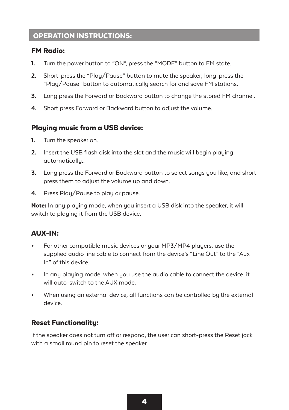#### OPERATION INSTRUCTIONS:

#### FM Radio:

- 1. Turn the power button to "ON", press the "MODE" button to FM state.
- 2. Short-press the "Plau/Pause" button to mute the speaker: long-press the "Play/Pause" button to automatically search for and save FM stations.
- 3. Long press the Forward or Backward button to change the stored FM channel.
- 4. Short press Forward or Backward button to adjust the volume.

#### Playing music from a USB device:

- 1. Turn the speaker on.
- 2. Insert the USB flash disk into the slot and the music will begin playing automatically..
- 3. Long press the Forward or Backward button to select songs you like, and short press them to adjust the volume up and down.
- 4. Press Plau/Pause to play or pause.

Note: In any playing mode, when you insert a USB disk into the speaker, it will switch to playing it from the USB device.

#### AUX-IN:

- For other compatible music devices or your MP3/MP4 players, use the supplied audio line cable to connect from the device's "Line Out" to the "Aux In" of this device.
- In any playing mode, when you use the audio cable to connect the device, it will auto-switch to the AUX mode.
- When using an external device, all functions can be controlled by the external device.

#### Reset Functionality:

If the speaker does not turn off or respond, the user can short-press the Reset jack with a small round pin to reset the speaker.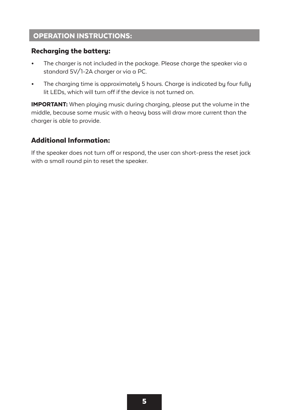#### OPERATION INSTRUCTIONS:

#### Recharging the battery:

- The charger is not included in the package. Please charge the speaker via a standard 5V/1-2A charger or via a PC.
- The charging time is approximately 5 hours. Charge is indicated by four fully lit LEDs, which will turn off if the device is not turned on.

IMPORTANT: When playing music during charging, please put the volume in the middle, because some music with a heavy bass will draw more current than the charger is able to provide.

#### Additional Information:

If the speaker does not turn off or respond, the user can short-press the reset jack with a small round pin to reset the speaker.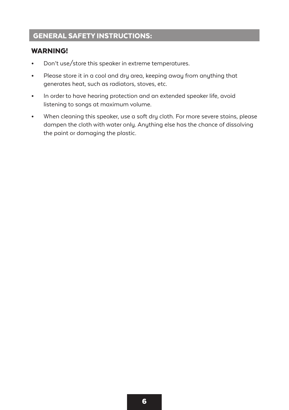#### GENERAL SAFETY INSTRUCTIONS:

#### WARNING!

- Don't use/store this speaker in extreme temperatures.
- Please store it in a cool and dry area, keeping away from anything that generates heat, such as radiators, stoves, etc.
- In order to have hearing protection and an extended speaker life, avoid listening to songs at maximum volume.
- When cleaning this speaker, use a soft dry cloth. For more severe stains, please dampen the cloth with water only. Anything else has the chance of dissolving the paint or damaging the plastic.